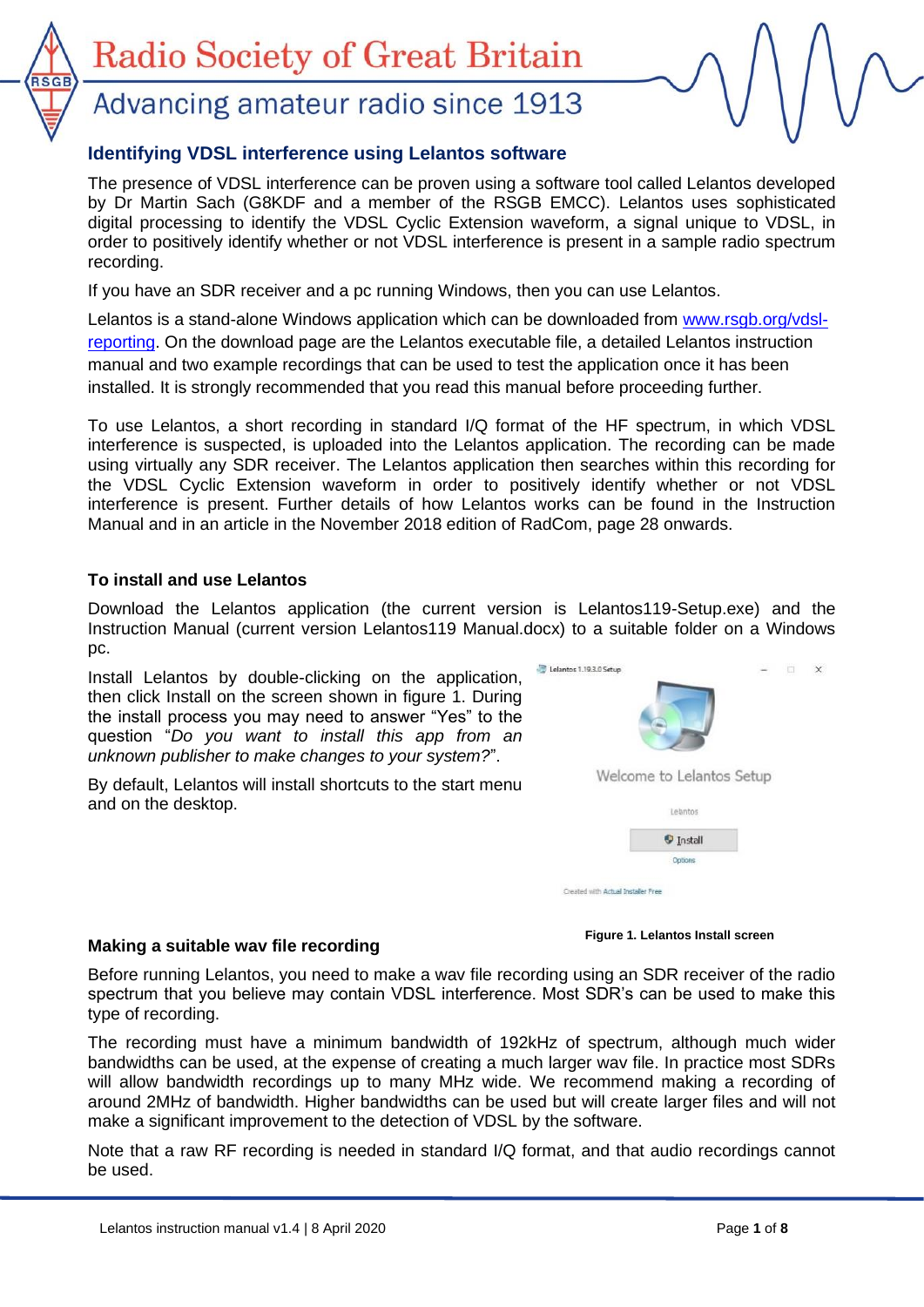# Advancing amateur radio since 1913

## **Identifying VDSL interference using Lelantos software**

The presence of VDSL interference can be proven using a software tool called Lelantos developed by Dr Martin Sach (G8KDF and a member of the RSGB EMCC). Lelantos uses sophisticated digital processing to identify the VDSL Cyclic Extension waveform, a signal unique to VDSL, in order to positively identify whether or not VDSL interference is present in a sample radio spectrum recording.

If you have an SDR receiver and a pc running Windows, then you can use Lelantos.

Lelantos is a stand-alone Windows application which can be downloaded from [www.rsgb.org/vdsl](http://www.rsgb.org/vdsl-reporting)[reporting.](http://www.rsgb.org/vdsl-reporting) On the download page are the Lelantos executable file, a detailed Lelantos instruction manual and two example recordings that can be used to test the application once it has been installed. It is strongly recommended that you read this manual before proceeding further.

To use Lelantos, a short recording in standard I/Q format of the HF spectrum, in which VDSL interference is suspected, is uploaded into the Lelantos application. The recording can be made using virtually any SDR receiver. The Lelantos application then searches within this recording for the VDSL Cyclic Extension waveform in order to positively identify whether or not VDSL interference is present. Further details of how Lelantos works can be found in the Instruction Manual and in an article in the November 2018 edition of RadCom, page 28 onwards.

### **To install and use Lelantos**

Download the Lelantos application (the current version is Lelantos119-Setup.exe) and the Instruction Manual (current version Lelantos119 Manual.docx) to a suitable folder on a Windows pc.

Install Lelantos by double-clicking on the application, then click Install on the screen shown in figure 1. During the install process you may need to answer "Yes" to the question "*Do you want to install this app from an unknown publisher to make changes to your system?*".

By default, Lelantos will install shortcuts to the start menu and on the desktop.



### **Making a suitable wav file recording**

**Figure 1. Lelantos Install screen**

Before running Lelantos, you need to make a wav file recording using an SDR receiver of the radio spectrum that you believe may contain VDSL interference. Most SDR's can be used to make this type of recording.

The recording must have a minimum bandwidth of 192kHz of spectrum, although much wider bandwidths can be used, at the expense of creating a much larger wav file. In practice most SDRs will allow bandwidth recordings up to many MHz wide. We recommend making a recording of around 2MHz of bandwidth. Higher bandwidths can be used but will create larger files and will not make a significant improvement to the detection of VDSL by the software.

Note that a raw RF recording is needed in standard I/Q format, and that audio recordings cannot be used.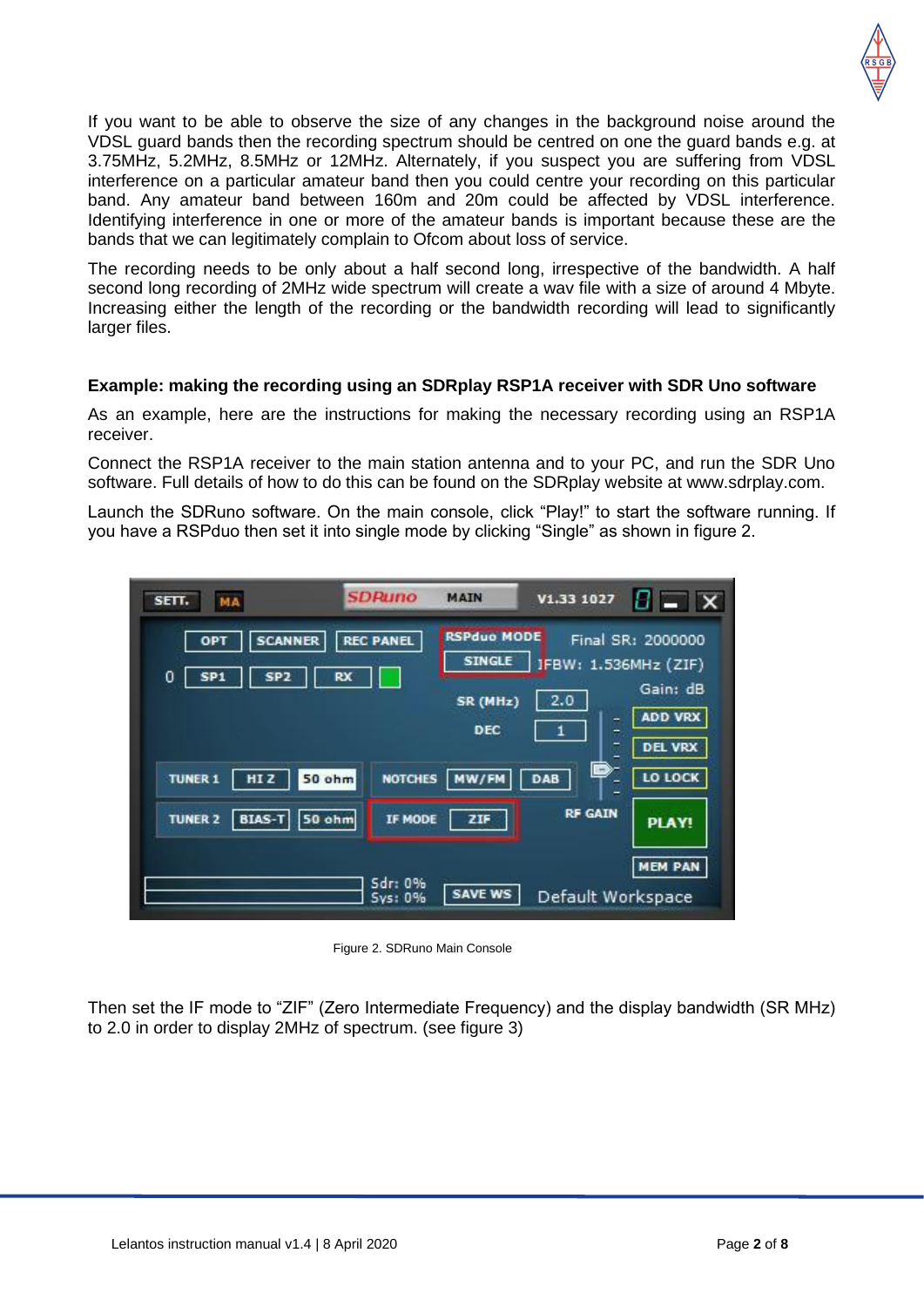

If you want to be able to observe the size of any changes in the background noise around the VDSL guard bands then the recording spectrum should be centred on one the guard bands e.g. at 3.75MHz, 5.2MHz, 8.5MHz or 12MHz. Alternately, if you suspect you are suffering from VDSL interference on a particular amateur band then you could centre your recording on this particular band. Any amateur band between 160m and 20m could be affected by VDSL interference. Identifying interference in one or more of the amateur bands is important because these are the bands that we can legitimately complain to Ofcom about loss of service.

The recording needs to be only about a half second long, irrespective of the bandwidth. A half second long recording of 2MHz wide spectrum will create a wav file with a size of around 4 Mbyte. Increasing either the length of the recording or the bandwidth recording will lead to significantly larger files.

#### **Example: making the recording using an SDRplay RSP1A receiver with SDR Uno software**

As an example, here are the instructions for making the necessary recording using an RSP1A receiver.

Connect the RSP1A receiver to the main station antenna and to your PC, and run the SDR Uno software. Full details of how to do this can be found on the SDRplay website at www.sdrplay.com.

Launch the SDRuno software. On the main console, click "Play!" to start the software running. If you have a RSPduo then set it into single mode by clicking "Single" as shown in figure 2.

| MA<br>SETT.                                                                | <b>SDRuno</b>                 | <b>MAIN</b>                                            | V1.33 1027                                |                                                 |
|----------------------------------------------------------------------------|-------------------------------|--------------------------------------------------------|-------------------------------------------|-------------------------------------------------|
| <b>SCANNER</b><br>OPT<br>$\mathbf 0$<br>SP <sub>2</sub><br>SP <sub>1</sub> | <b>REC PANEL</b><br><b>RX</b> | <b>RSPduo MODE</b><br><b>SINGLE</b><br>SR (MHz)<br>DEC | <b>IFBW: 1.536MHz (ZIF)</b><br>2.0<br>۳   | Final SR: 2000000<br>Gain: dB<br><b>ADD VRX</b> |
| <b>50 ohm</b><br><b>TUNER 1</b><br>HI <sub>Z</sub>                         | <b>NOTCHES</b>                | MW/FM                                                  | ۳<br>⋍<br>B<br>DAB<br>-<br><b>RF GAIN</b> | <b>DEL VRX</b><br>LO LOCK                       |
| <b>BIAS-T</b><br><b>TUNER 2</b><br><b>50 ohm</b>                           | IF MODE<br>Sdr: 0%<br>Sys: 0% | ZIF<br><b>SAVE WS</b>                                  | Default Workspace                         | <b>PLAY!</b><br><b>MEM PAN</b>                  |

Figure 2. SDRuno Main Console

Then set the IF mode to "ZIF" (Zero Intermediate Frequency) and the display bandwidth (SR MHz) to 2.0 in order to display 2MHz of spectrum. (see figure 3)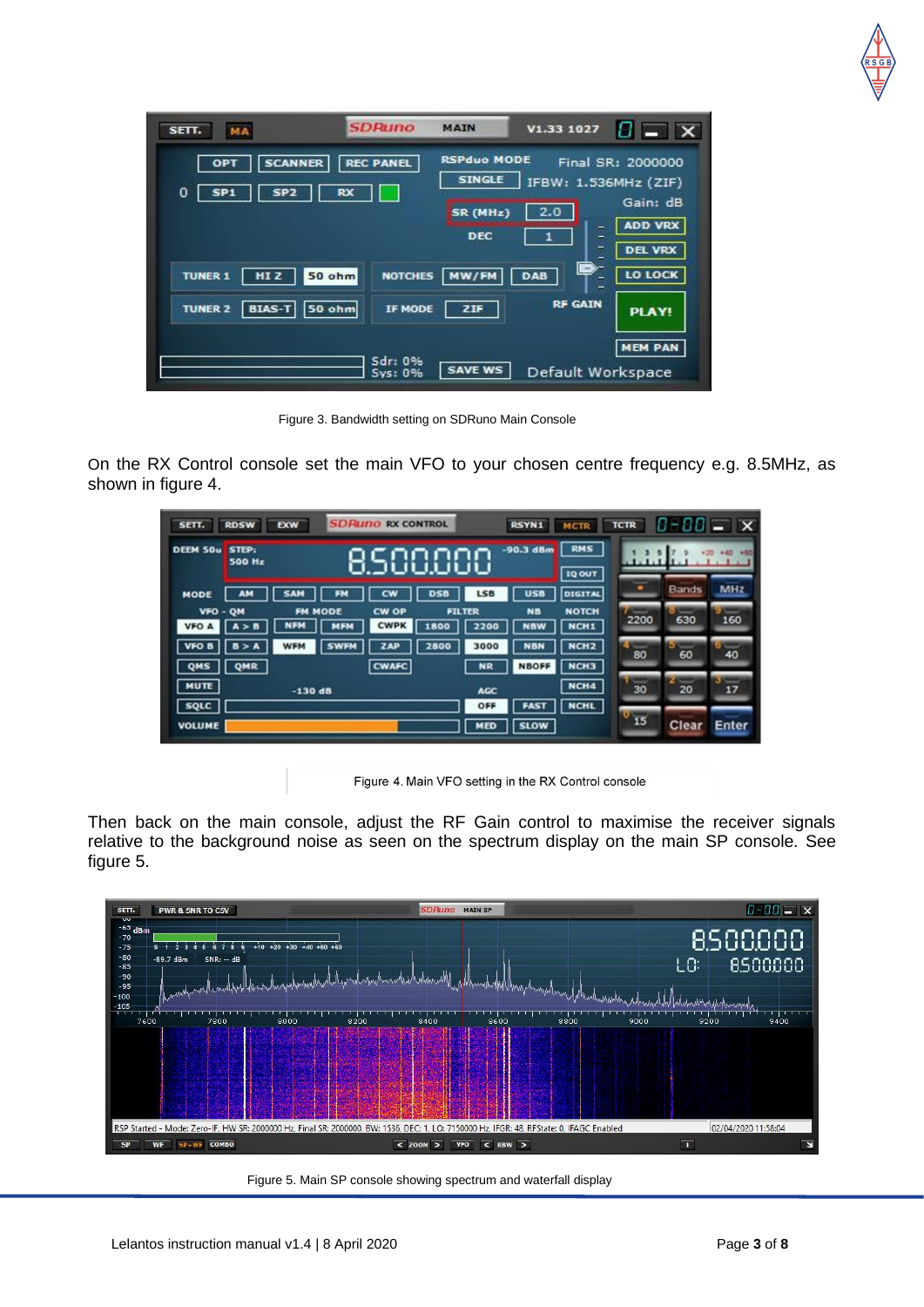| SETT.<br>MA                                                      | <b>SDRuno</b>                   | <b>MAIN</b>                         | V1.33 1027              | $B = \mathbf{X}$           |
|------------------------------------------------------------------|---------------------------------|-------------------------------------|-------------------------|----------------------------|
| <b>SCANNER</b><br>OPT<br>SP <sub>2</sub><br>0<br>SP <sub>1</sub> | <b>REC PANEL</b><br>RX          | <b>RSPduo MODE</b><br><b>SINGLE</b> | IFBW: 1.536MHz (ZIF)    | Final SR: 2000000          |
|                                                                  |                                 | SR (MHz)<br>DEC                     | 2.0<br>۰<br>۵           | Gain: dB<br><b>ADD VRX</b> |
| <b>TUNER 1</b><br>HI <sub>Z</sub>                                | <b>NOTCHES</b><br><b>50 ohm</b> | MW/FM                               | Ē<br>B<br>DAB<br>-<br>۰ | <b>DEL VRX</b><br>LO LOCK  |
| <b>BIAS-T</b><br><b>TUNER 2</b>                                  | 50 ohm<br>IF MODE               | ZIF                                 | <b>RF GAIN</b>          | <b>PLAY!</b>               |
|                                                                  | Sdr: 0%<br>Sys: 0%              | <b>SAVE WS</b>                      | Default Workspace       | <b>MEM PAN</b>             |

Figure 3. Bandwidth setting on SDRuno Main Console

On the RX Control console set the main VFO to your chosen centre frequency e.g. 8.5MHz, as shown in figure 4.

| SETT.                    | <b>RDSW</b>            | <b>EXW</b>                                 | <b>SDRUNO RX CONTROL</b> |                       |                   | <b>RSYN1</b>               | <b>MCTR</b>                          | <b>TCTR</b>     |              | $0 - 00 = x$   |
|--------------------------|------------------------|--------------------------------------------|--------------------------|-----------------------|-------------------|----------------------------|--------------------------------------|-----------------|--------------|----------------|
| DEEM 50u                 | STEP:<br><b>500 Hz</b> |                                            |                          |                       |                   | $-90.3$ dBm                | <b>RMS</b><br><b>IQ OUT</b>          | $-1.1.1$        |              |                |
| <b>MODE</b>              | <b>AM</b>              | <b>SAM</b><br>FМ                           | <b>CW</b>                | <b>DSB</b>            | LSB               | <b>USB</b>                 | <b>DIGITAL</b>                       |                 | <b>Bands</b> | <b>MHz</b>     |
| VFO - OM<br><b>VFO A</b> |                        | <b>FM MODE</b><br><b>NFM</b><br><b>MFM</b> | CW OP<br><b>CWPK</b>     | <b>FILTER</b><br>1800 | 2200              | <b>NB</b><br><b>NBW</b>    | <b>NOTCH</b><br>NCH <sub>1</sub>     | 2200            | 630          | 160            |
| QMS                      | в<br>QMR               | <b>WFM</b>                                 | ZAP<br><b>CWAFC</b>      | 2800                  | 3000<br><b>NR</b> | <b>NBN</b><br><b>NBOFF</b> | NCH <sub>2</sub><br>NCH <sub>3</sub> | 80              | 60           | 40             |
| <b>MUTE</b>              |                        | $-130dB$                                   |                          |                       | <b>AGC</b>        |                            | NCH <sub>4</sub>                     | 30              | 20           | $\equiv$<br>17 |
| SQLC<br><b>VOLUME</b>    |                        |                                            |                          |                       | OFF<br><b>MED</b> | <b>SLOW</b>                | <b>NCHL</b>                          | $\frac{15}{15}$ | <b>Clear</b> | <b>Enter</b>   |

Figure 4. Main VFO setting in the RX Control console

Then back on the main console, adjust the RF Gain control to maximise the receiver signals relative to the background noise as seen on the spectrum display on the main SP console. See figure 5.



Figure 5. Main SP console showing spectrum and waterfall display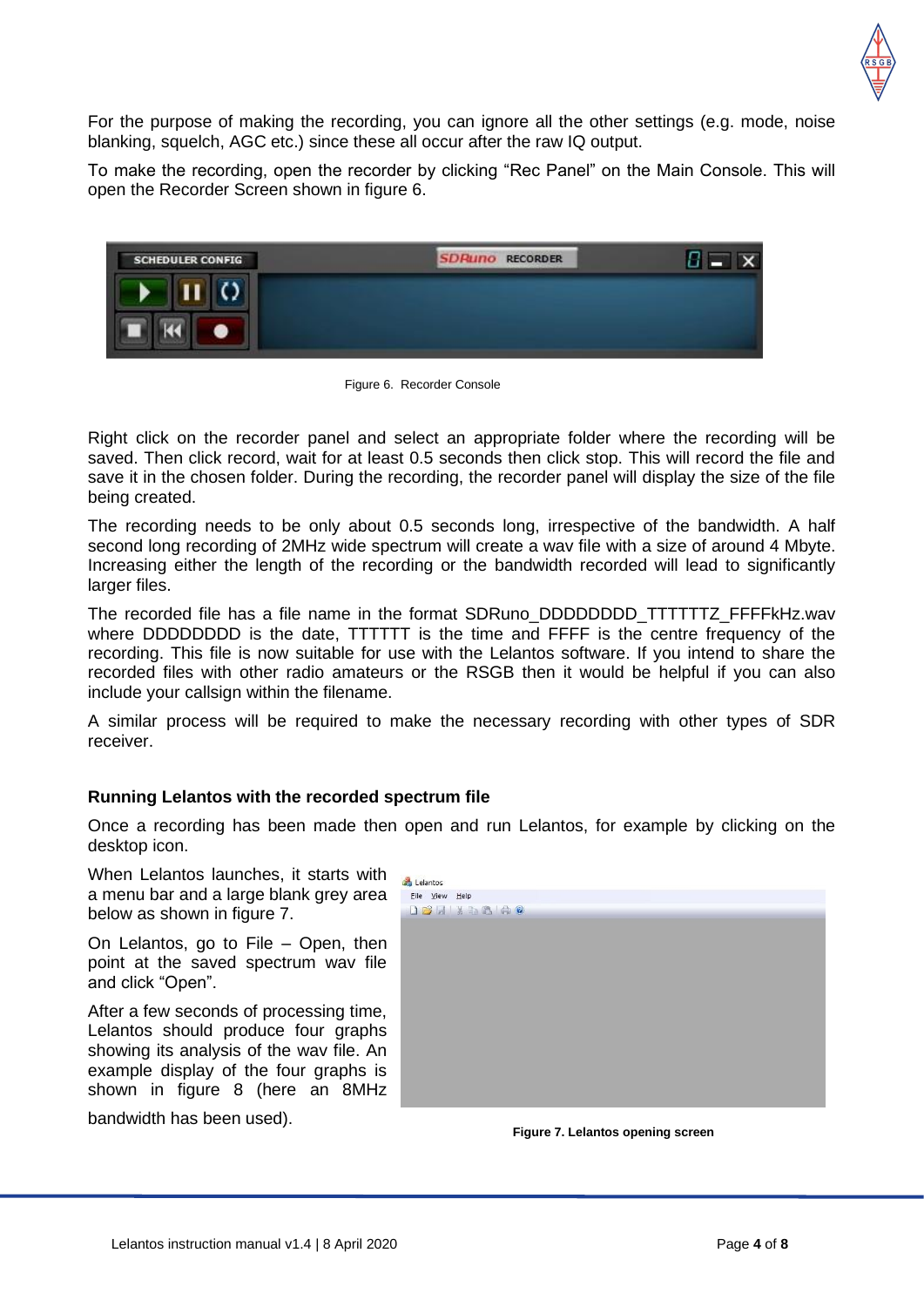

For the purpose of making the recording, you can ignore all the other settings (e.g. mode, noise blanking, squelch, AGC etc.) since these all occur after the raw IQ output.

To make the recording, open the recorder by clicking "Rec Panel" on the Main Console. This will open the Recorder Screen shown in figure 6.



Figure 6. Recorder Console

Right click on the recorder panel and select an appropriate folder where the recording will be saved. Then click record, wait for at least 0.5 seconds then click stop. This will record the file and save it in the chosen folder. During the recording, the recorder panel will display the size of the file being created.

The recording needs to be only about 0.5 seconds long, irrespective of the bandwidth. A half second long recording of 2MHz wide spectrum will create a wav file with a size of around 4 Mbyte. Increasing either the length of the recording or the bandwidth recorded will lead to significantly larger files.

The recorded file has a file name in the format SDRuno\_DDDDDDDD\_TTTTTTZ\_FFFFkHz.wav where DDDDDDDD is the date, TTTTTT is the time and FFFF is the centre frequency of the recording. This file is now suitable for use with the Lelantos software. If you intend to share the recorded files with other radio amateurs or the RSGB then it would be helpful if you can also include your callsign within the filename.

A similar process will be required to make the necessary recording with other types of SDR receiver.

### **Running Lelantos with the recorded spectrum file**

Once a recording has been made then open and run Lelantos, for example by clicking on the desktop icon.

When Lelantos launches, it starts with a menu bar and a large blank grey area below as shown in figure 7.

On Lelantos, go to File – Open, then point at the saved spectrum wav file and click "Open".

After a few seconds of processing time, Lelantos should produce four graphs showing its analysis of the wav file. An example display of the four graphs is shown in figure 8 (here an 8MHz

bandwidth has been used).

| Lelantos       |                    |  |  |
|----------------|--------------------|--|--|
| File View Help |                    |  |  |
|                | <b>DBH X 5 6 0</b> |  |  |
|                |                    |  |  |
|                |                    |  |  |
|                |                    |  |  |
|                |                    |  |  |
|                |                    |  |  |
|                |                    |  |  |
|                |                    |  |  |
|                |                    |  |  |
|                |                    |  |  |
|                |                    |  |  |
|                |                    |  |  |
|                |                    |  |  |
|                |                    |  |  |
|                |                    |  |  |
|                |                    |  |  |
|                |                    |  |  |
|                |                    |  |  |

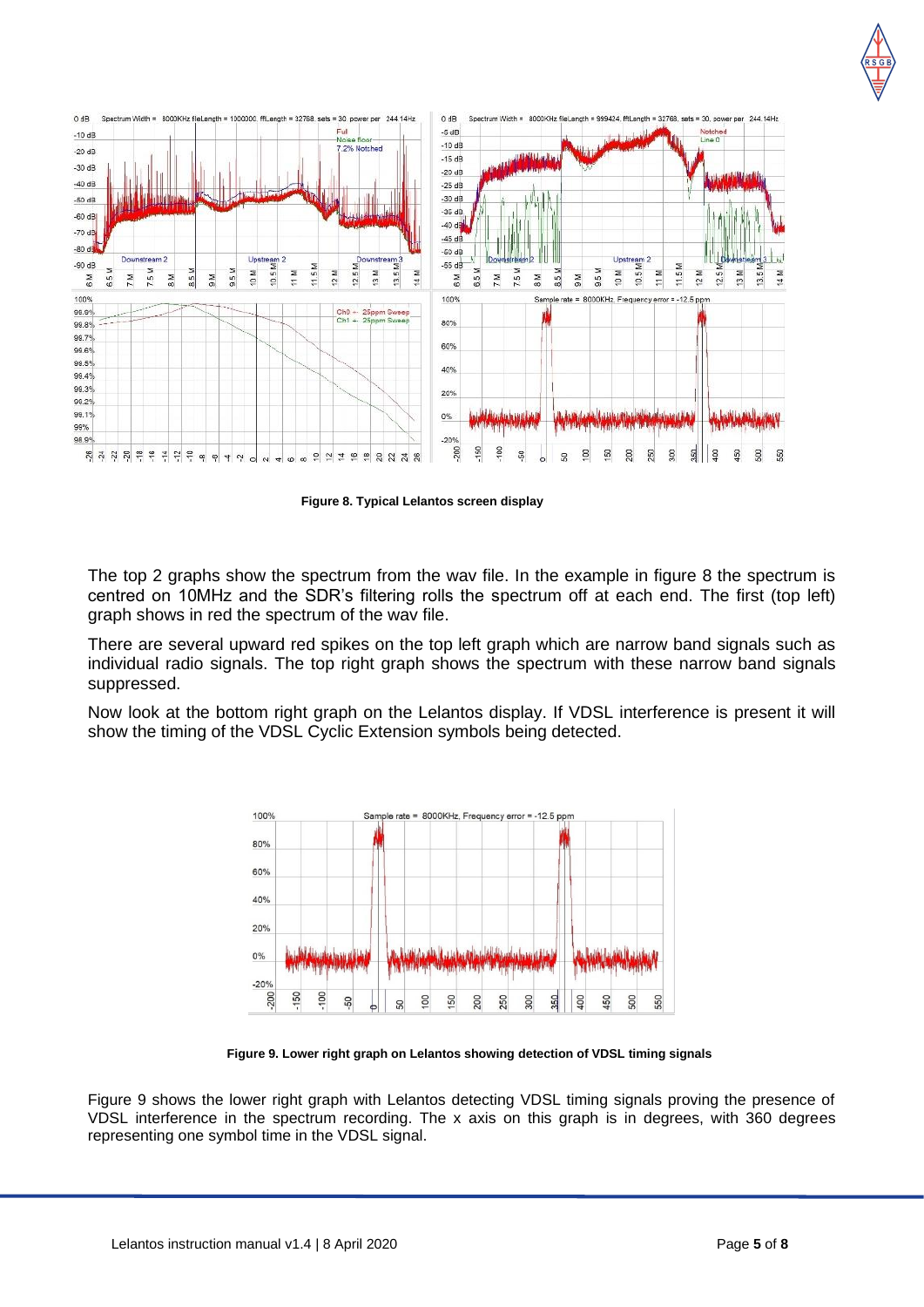



**Figure 8. Typical Lelantos screen display**

The top 2 graphs show the spectrum from the wav file. In the example in figure 8 the spectrum is centred on 10MHz and the SDR's filtering rolls the spectrum off at each end. The first (top left) graph shows in red the spectrum of the wav file.

There are several upward red spikes on the top left graph which are narrow band signals such as individual radio signals. The top right graph shows the spectrum with these narrow band signals suppressed.

Now look at the bottom right graph on the Lelantos display. If VDSL interference is present it will show the timing of the VDSL Cyclic Extension symbols being detected.



**Figure 9. Lower right graph on Lelantos showing detection of VDSL timing signals**

Figure 9 shows the lower right graph with Lelantos detecting VDSL timing signals proving the presence of VDSL interference in the spectrum recording. The x axis on this graph is in degrees, with 360 degrees representing one symbol time in the VDSL signal.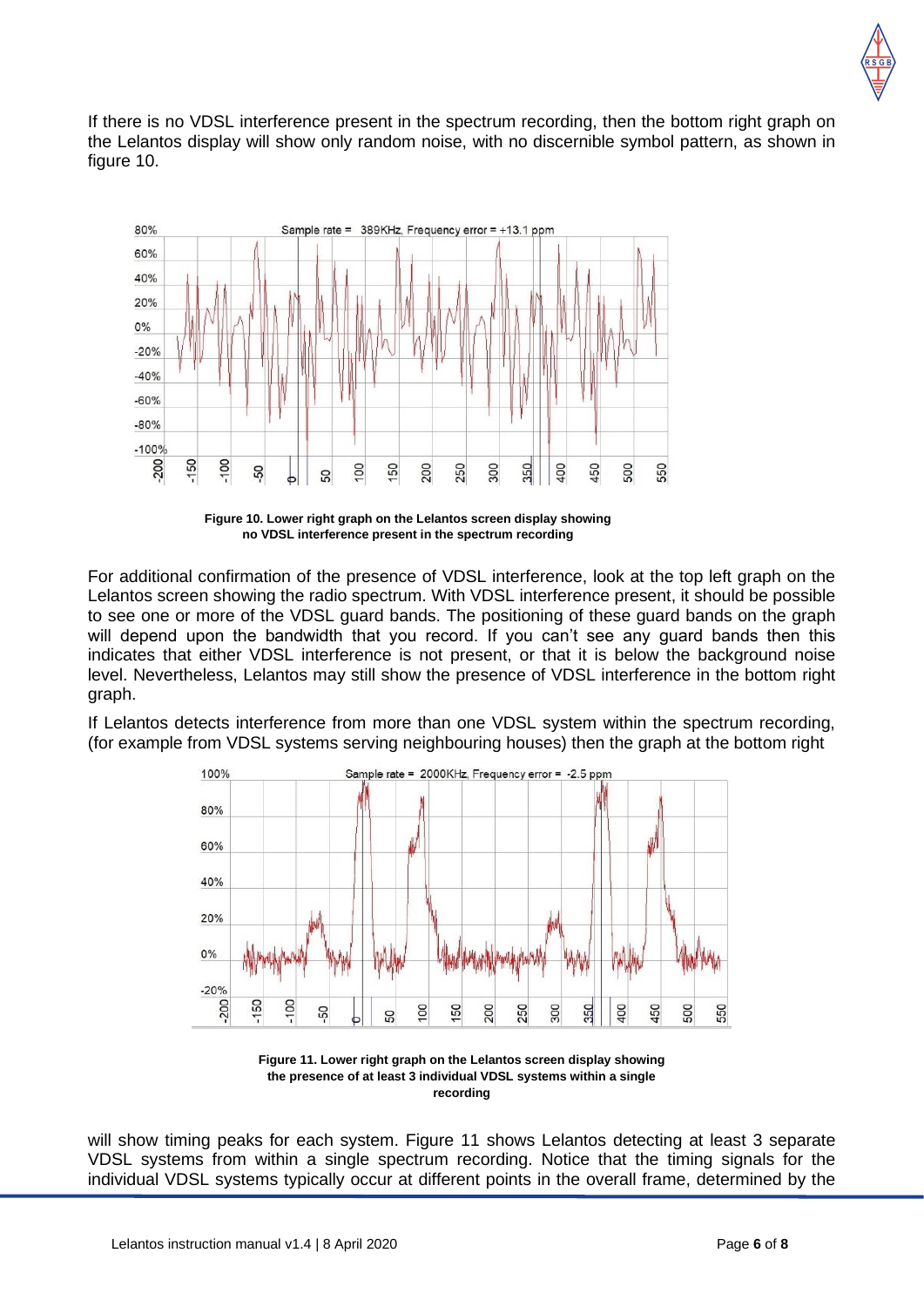

If there is no VDSL interference present in the spectrum recording, then the bottom right graph on the Lelantos display will show only random noise, with no discernible symbol pattern, as shown in figure 10.



**Figure 10. Lower right graph on the Lelantos screen display showing no VDSL interference present in the spectrum recording**

For additional confirmation of the presence of VDSL interference, look at the top left graph on the Lelantos screen showing the radio spectrum. With VDSL interference present, it should be possible to see one or more of the VDSL guard bands. The positioning of these guard bands on the graph will depend upon the bandwidth that you record. If you can't see any guard bands then this indicates that either VDSL interference is not present, or that it is below the background noise level. Nevertheless, Lelantos may still show the presence of VDSL interference in the bottom right graph.

If Lelantos detects interference from more than one VDSL system within the spectrum recording, (for example from VDSL systems serving neighbouring houses) then the graph at the bottom right



**Figure 11. Lower right graph on the Lelantos screen display showing the presence of at least 3 individual VDSL systems within a single recording**

will show timing peaks for each system. Figure 11 shows Lelantos detecting at least 3 separate VDSL systems from within a single spectrum recording. Notice that the timing signals for the individual VDSL systems typically occur at different points in the overall frame, determined by the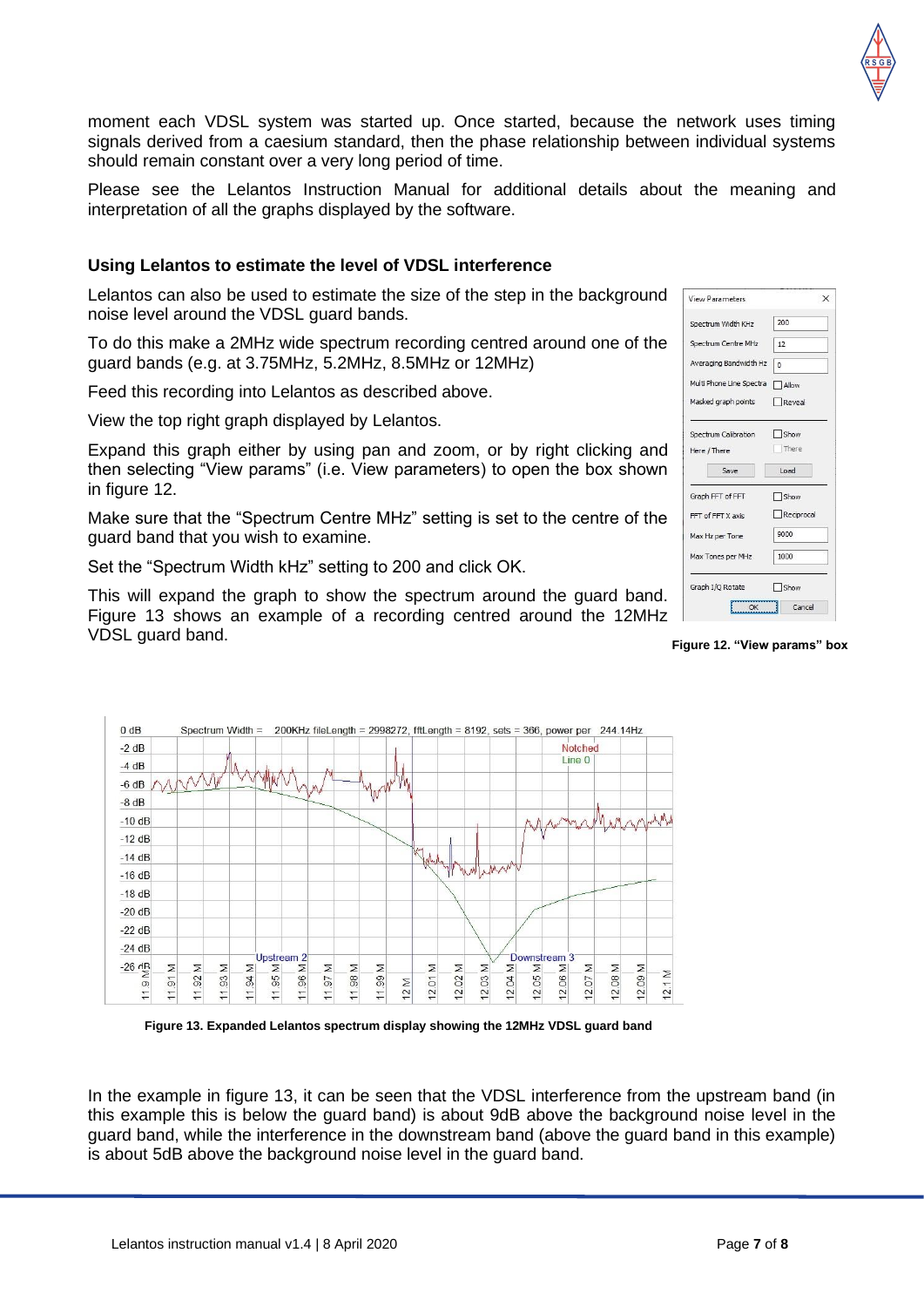moment each VDSL system was started up. Once started, because the network uses timing signals derived from a caesium standard, then the phase relationship between individual systems should remain constant over a very long period of time.

Please see the Lelantos Instruction Manual for additional details about the meaning and interpretation of all the graphs displayed by the software.

### **Using Lelantos to estimate the level of VDSL interference**

Lelantos can also be used to estimate the size of the step in the background noise level around the VDSL guard bands.

To do this make a 2MHz wide spectrum recording centred around one of the guard bands (e.g. at 3.75MHz, 5.2MHz, 8.5MHz or 12MHz)

Feed this recording into Lelantos as described above.

View the top right graph displayed by Lelantos.

Expand this graph either by using pan and zoom, or by right clicking and then selecting "View params" (i.e. View parameters) to open the box shown in figure 12.

Make sure that the "Spectrum Centre MHz" setting is set to the centre of the guard band that you wish to examine.

Set the "Spectrum Width kHz" setting to 200 and click OK.

This will expand the graph to show the spectrum around the guard band. Figure 13 shows an example of a recording centred around the 12MHz VDSL guard band.

| <b>View Parameters</b>   | ×          |
|--------------------------|------------|
| Spectrum Width KHz       | 200        |
| Spectrum Centre MHz      | 12         |
| Averaging Bandwidth Hz   | $\Omega$   |
| Multi Phone Line Spectra | Allow      |
| Masked graph points      | Reveal     |
| Spectrum Calibration     | Show       |
| Here / There             | There      |
| Save                     | Load       |
| Graph FFT of FFT         | □ Show     |
| FFT of FFT X axis        | Reciprocal |
| Max Hz per Tone          | 9000       |
| Max Tones per MHz        | 1000       |
| Graph I/O Rotate         | Show       |
| OK                       | Cancel     |

#### **Figure 12. "View params" box**



**Figure 13. Expanded Lelantos spectrum display showing the 12MHz VDSL guard band** 

In the example in figure 13, it can be seen that the VDSL interference from the upstream band (in this example this is below the guard band) is about 9dB above the background noise level in the guard band, while the interference in the downstream band (above the guard band in this example) is about 5dB above the background noise level in the guard band.